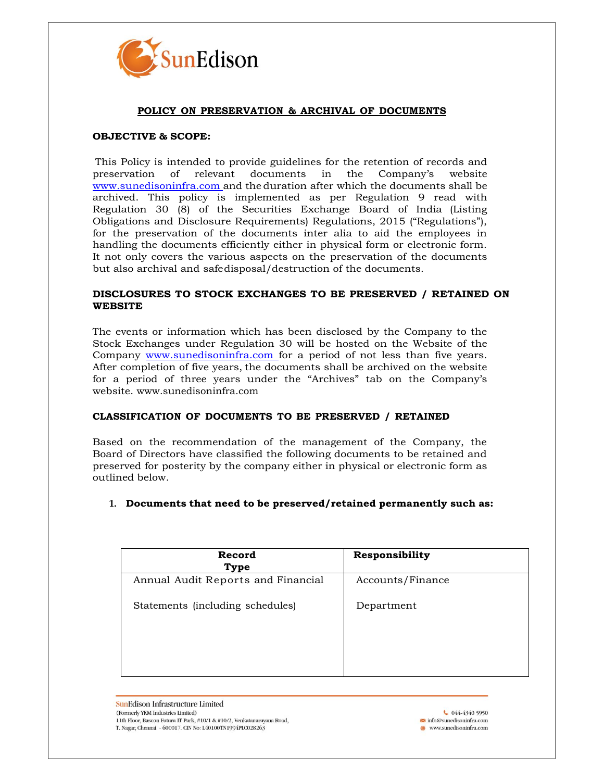

## **POLICY ON PRESERVATION & ARCHIVAL OF DOCUMENTS**

# **OBJECTIVE & SCOPE:**

This Policy is intended to provide guidelines for the retention of records and preservation of relevant documents in the Company's website [www.sunedisoninfra.com](http://www.sunedisoninfra.com/) and the duration after which the documents shall be archived. This policy is implemented as per Regulation 9 read with Regulation 30 (8) of the Securities Exchange Board of India (Listing Obligations and Disclosure Requirements) Regulations, 2015 ("Regulations"), for the preservation of the documents inter alia to aid the employees in handling the documents efficiently either in physical form or electronic form. It not only covers the various aspects on the preservation of the documents but also archival and safedisposal/destruction of the documents.

## **DISCLOSURES TO STOCK EXCHANGES TO BE PRESERVED / RETAINED ON WEBSITE**

The events or information which has been disclosed by the Company to the Stock Exchanges under Regulation 30 will be hosted on the Website of the Company [www.sunedisoninfra.com](http://www.sunedisoninfra.com/) for a period of not less than five years. After completion of five years, the documents shall be archived on the website for a period of three years under the "Archives" tab on the Company's website. www.sunedisoninfra.com

#### **CLASSIFICATION OF DOCUMENTS TO BE PRESERVED / RETAINED**

Based on the recommendation of the management of the Company, the Board of Directors have classified the following documents to be retained and preserved for posterity by the company either in physical or electronic form as outlined below.

#### **1. Documents that need to be preserved/retained permanently such as:**

| Record<br>Type                     | Responsibility   |
|------------------------------------|------------------|
| Annual Audit Reports and Financial | Accounts/Finance |
| Statements (including schedules)   | Department       |
|                                    |                  |

**SunEdison Infrastructure Limited** (Formerly YKM Industries Limited) 11th Floor, Bascon Futura IT Park, #10/1 & #10/2, Venkatanarayana Road, T. Nagar, Chennai - 600017. CIN No: L40100TN1994PLC028263

€ 044-4340 5950  $\blacksquare$  info@sunedisoninfra.com <sup>66</sup> www.sunedisoninfra.com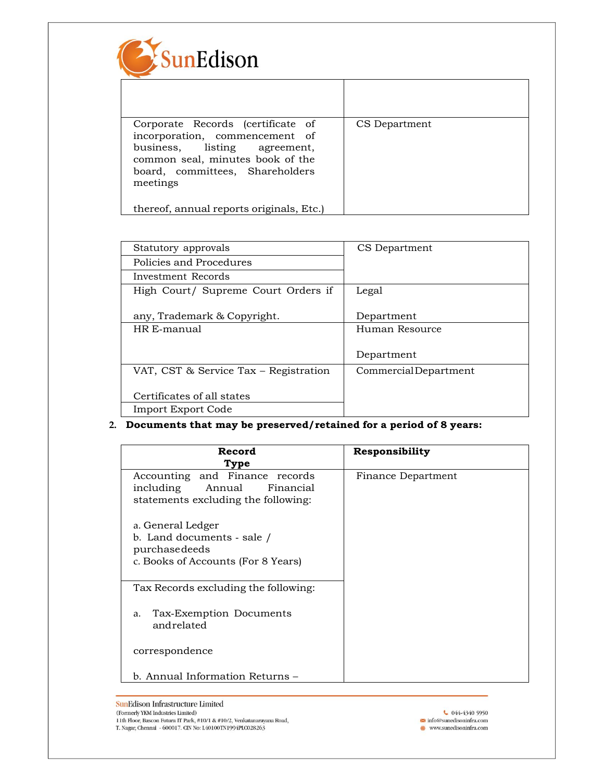

| Corporate Records (certificate of<br>incorporation, commencement of<br>business, listing agreement,<br>common seal, minutes book of the<br>board, committees, Shareholders<br>meetings | CS Department |
|----------------------------------------------------------------------------------------------------------------------------------------------------------------------------------------|---------------|
| thereof, annual reports originals, Etc.)                                                                                                                                               |               |

| Statutory approvals                   | CS Department        |  |
|---------------------------------------|----------------------|--|
| Policies and Procedures               |                      |  |
| Investment Records                    |                      |  |
| High Court/ Supreme Court Orders if   | Legal                |  |
|                                       |                      |  |
| any, Trademark & Copyright.           | Department           |  |
| HR E-manual                           | Human Resource       |  |
|                                       |                      |  |
|                                       | Department           |  |
| VAT, CST & Service Tax - Registration | CommercialDepartment |  |
|                                       |                      |  |
| Certificates of all states            |                      |  |
| Import Export Code                    |                      |  |

# **2. Documents that may be preserved/retained for a period of 8 years:**

| Record                                                                                                 | Responsibility     |
|--------------------------------------------------------------------------------------------------------|--------------------|
| Type                                                                                                   |                    |
| Accounting and Finance records<br>including Annual<br>Financial<br>statements excluding the following: | Finance Department |
| a. General Ledger<br>b. Land documents - sale /<br>purchasedeeds<br>c. Books of Accounts (For 8 Years) |                    |
| Tax Records excluding the following:                                                                   |                    |
| Tax-Exemption Documents<br>a.<br>andrelated                                                            |                    |
| correspondence                                                                                         |                    |
| b. Annual Information Returns –                                                                        |                    |

 $044-43405950$  $\bullet$  info@sunedisoninfra.com<br> $\bullet$  www.sunedisoninfra.com ٦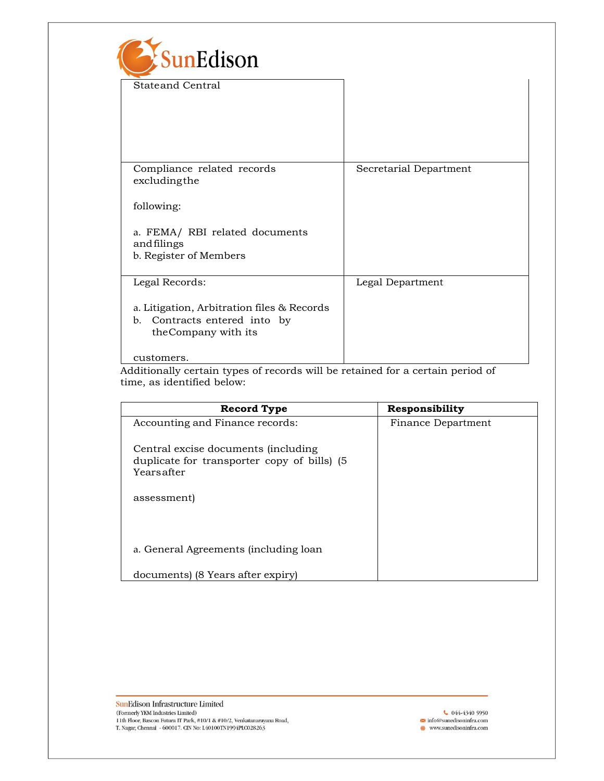| SunEdison                                                                                                         |                        |
|-------------------------------------------------------------------------------------------------------------------|------------------------|
| <b>Stateand Central</b>                                                                                           |                        |
| Compliance related records<br>excludingthe                                                                        | Secretarial Department |
| following:                                                                                                        |                        |
| a. FEMA/ RBI related documents<br>andfilings<br>b. Register of Members                                            |                        |
| Legal Records:                                                                                                    | Legal Department       |
| a. Litigation, Arbitration files & Records<br>Contracts entered into by<br>$\mathbf{b}$ .<br>the Company with its |                        |
| customers.                                                                                                        |                        |

Additionally certain types of records will be retained for a certain period of time, as identified below:

| <b>Record Type</b>                          | Responsibility     |
|---------------------------------------------|--------------------|
| Accounting and Finance records:             | Finance Department |
| Central excise documents (including         |                    |
| duplicate for transporter copy of bills) (5 |                    |
| Yearsafter                                  |                    |
|                                             |                    |
| assessment)                                 |                    |
|                                             |                    |
|                                             |                    |
| a. General Agreements (including loan       |                    |
| documents) (8 Years after expiry)           |                    |

SunEdison Infrastructure Limited (Formerly YKM Industries Limited)<br>11th Floor, Bascon Futura IT Park, #10/1 & #10/2, Venkatanarayana Road, T. Nagar, Chennai - 600017. CIN No: L40100TN1994PLC028263

 $044-43405950$  $\bullet$  info@sunedisoninfra.com<br> $\bullet$  www.sunedisoninfra.com